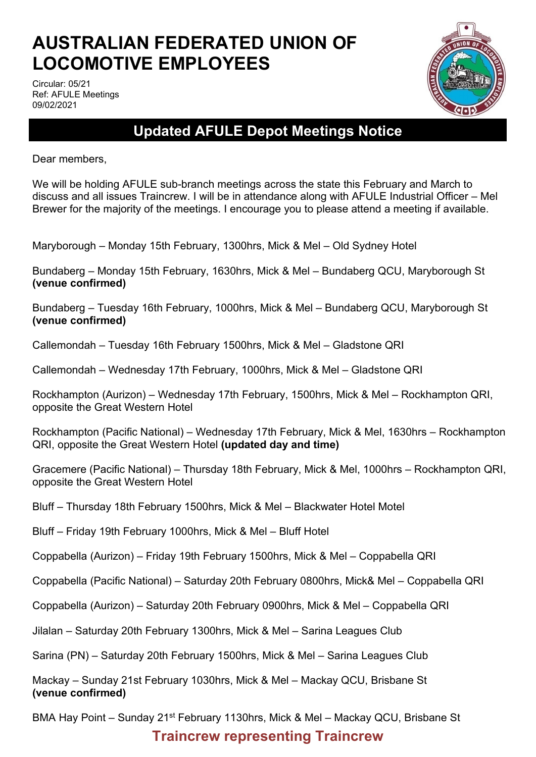# **AUSTRALIAN FEDERATED UNION OF LOCOMOTIVE EMPLOYEES**

Circular: 05/21 Ref: AFULE Meetings 09/02/2021



## **Updated AFULE Depot Meetings Notice**

Dear members,

We will be holding AFULE sub-branch meetings across the state this February and March to discuss and all issues Traincrew. I will be in attendance along with AFULE Industrial Officer – Mel Brewer for the majority of the meetings. I encourage you to please attend a meeting if available.

Maryborough – Monday 15th February, 1300hrs, Mick & Mel – Old Sydney Hotel

Bundaberg – Monday 15th February, 1630hrs, Mick & Mel – Bundaberg QCU, Maryborough St **(venue confirmed)**

Bundaberg – Tuesday 16th February, 1000hrs, Mick & Mel – Bundaberg QCU, Maryborough St **(venue confirmed)**

Callemondah – Tuesday 16th February 1500hrs, Mick & Mel – Gladstone QRI

Callemondah – Wednesday 17th February, 1000hrs, Mick & Mel – Gladstone QRI

Rockhampton (Aurizon) – Wednesday 17th February, 1500hrs, Mick & Mel – Rockhampton QRI, opposite the Great Western Hotel

Rockhampton (Pacific National) – Wednesday 17th February, Mick & Mel, 1630hrs – Rockhampton QRI, opposite the Great Western Hotel **(updated day and time)**

Gracemere (Pacific National) – Thursday 18th February, Mick & Mel, 1000hrs – Rockhampton QRI, opposite the Great Western Hotel

Bluff – Thursday 18th February 1500hrs, Mick & Mel – Blackwater Hotel Motel

Bluff – Friday 19th February 1000hrs, Mick & Mel – Bluff Hotel

Coppabella (Aurizon) – Friday 19th February 1500hrs, Mick & Mel – Coppabella QRI

Coppabella (Pacific National) – Saturday 20th February 0800hrs, Mick& Mel – Coppabella QRI

Coppabella (Aurizon) – Saturday 20th February 0900hrs, Mick & Mel – Coppabella QRI

Jilalan – Saturday 20th February 1300hrs, Mick & Mel – Sarina Leagues Club

Sarina (PN) – Saturday 20th February 1500hrs, Mick & Mel – Sarina Leagues Club

Mackay – Sunday 21st February 1030hrs, Mick & Mel – Mackay QCU, Brisbane St **(venue confirmed)**

BMA Hay Point – Sunday 21<sup>st</sup> February 1130hrs, Mick & Mel – Mackay QCU, Brisbane St

#### **Traincrew representing Traincrew**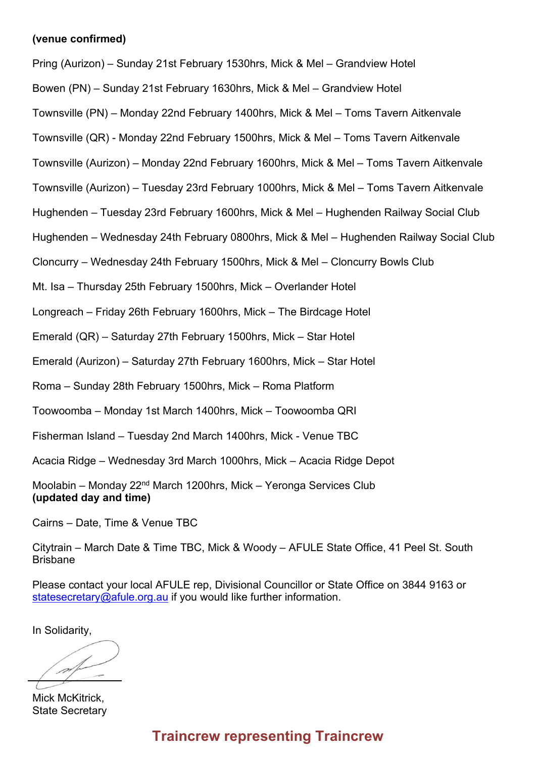#### **(venue confirmed)**

Pring (Aurizon) – Sunday 21st February 1530hrs, Mick & Mel – Grandview Hotel

Bowen (PN) – Sunday 21st February 1630hrs, Mick & Mel – Grandview Hotel

Townsville (PN) – Monday 22nd February 1400hrs, Mick & Mel – Toms Tavern Aitkenvale

Townsville (QR) - Monday 22nd February 1500hrs, Mick & Mel – Toms Tavern Aitkenvale

Townsville (Aurizon) – Monday 22nd February 1600hrs, Mick & Mel – Toms Tavern Aitkenvale

Townsville (Aurizon) – Tuesday 23rd February 1000hrs, Mick & Mel – Toms Tavern Aitkenvale

Hughenden – Tuesday 23rd February 1600hrs, Mick & Mel – Hughenden Railway Social Club

Hughenden – Wednesday 24th February 0800hrs, Mick & Mel – Hughenden Railway Social Club

Cloncurry – Wednesday 24th February 1500hrs, Mick & Mel – Cloncurry Bowls Club

Mt. Isa – Thursday 25th February 1500hrs, Mick – Overlander Hotel

Longreach – Friday 26th February 1600hrs, Mick – The Birdcage Hotel

Emerald (QR) – Saturday 27th February 1500hrs, Mick – Star Hotel

Emerald (Aurizon) – Saturday 27th February 1600hrs, Mick – Star Hotel

Roma – Sunday 28th February 1500hrs, Mick – Roma Platform

Toowoomba – Monday 1st March 1400hrs, Mick – Toowoomba QRI

Fisherman Island – Tuesday 2nd March 1400hrs, Mick - Venue TBC

Acacia Ridge – Wednesday 3rd March 1000hrs, Mick – Acacia Ridge Depot

Moolabin – Monday 22nd March 1200hrs, Mick – Yeronga Services Club **(updated day and time)**

Cairns – Date, Time & Venue TBC

Citytrain – March Date & Time TBC, Mick & Woody – AFULE State Office, 41 Peel St. South Brisbane

Please contact your local AFULE rep, Divisional Councillor or State Office on 3844 9163 or [statesecretary@afule.org.au](mailto:statesecretary@afule.org.au) if you would like further information.

In Solidarity,

nt

Mick McKitrick, State Secretary

### **Traincrew representing Traincrew**